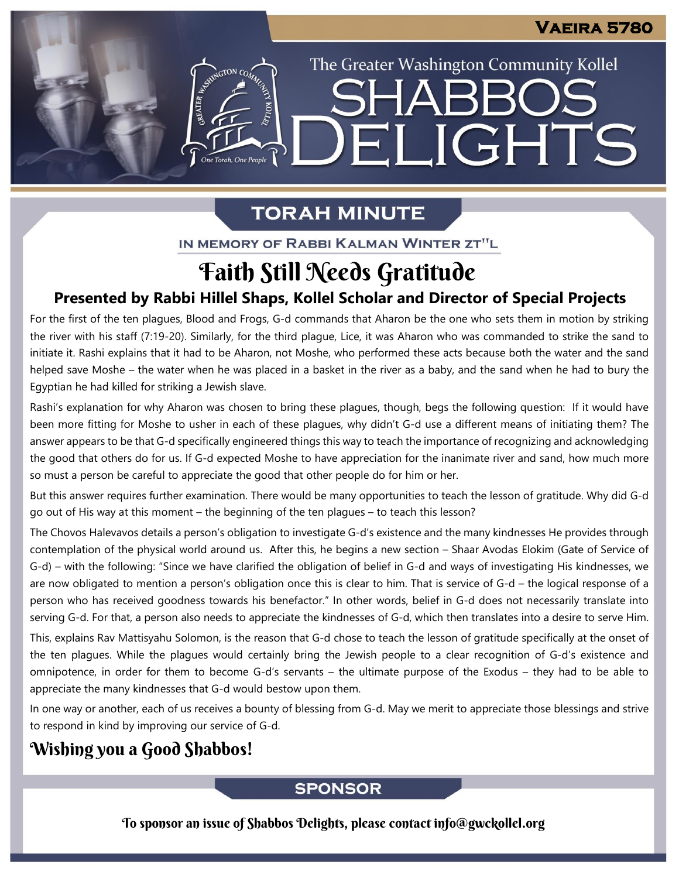The Greater Washington Community Kollel

ELIGHTS

**SHARR** 

# **TORAH MINUTE**

ASSIMIGTON CO

IN MEMORY OF RABBI KALMAN WINTER ZT"L

# Faith Still Needs Gratitude

# **Presented by Rabbi Hillel Shaps, Kollel Scholar and Director of Special Projects**

For the first of the ten plagues, Blood and Frogs, G-d commands that Aharon be the one who sets them in motion by striking the river with his staff (7:19-20). Similarly, for the third plague, Lice, it was Aharon who was commanded to strike the sand to initiate it. Rashi explains that it had to be Aharon, not Moshe, who performed these acts because both the water and the sand helped save Moshe – the water when he was placed in a basket in the river as a baby, and the sand when he had to bury the Egyptian he had killed for striking a Jewish slave.

Rashi's explanation for why Aharon was chosen to bring these plagues, though, begs the following question: If it would have been more fitting for Moshe to usher in each of these plagues, why didn't G-d use a different means of initiating them? The answer appears to be that G-d specifically engineered things this way to teach the importance of recognizing and acknowledging the good that others do for us. If G-d expected Moshe to have appreciation for the inanimate river and sand, how much more so must a person be careful to appreciate the good that other people do for him or her.

But this answer requires further examination. There would be many opportunities to teach the lesson of gratitude. Why did G-d go out of His way at this moment – the beginning of the ten plagues – to teach this lesson?

The Chovos Halevavos details a person's obligation to investigate G-d's existence and the many kindnesses He provides through contemplation of the physical world around us. After this, he begins a new section – Shaar Avodas Elokim (Gate of Service of G-d) – with the following: "Since we have clarified the obligation of belief in G-d and ways of investigating His kindnesses, we are now obligated to mention a person's obligation once this is clear to him. That is service of G-d – the logical response of a person who has received goodness towards his benefactor." In other words, belief in G-d does not necessarily translate into serving G-d. For that, a person also needs to appreciate the kindnesses of G-d, which then translates into a desire to serve Him.

This, explains Rav Mattisyahu Solomon, is the reason that G-d chose to teach the lesson of gratitude specifically at the onset of the ten plagues. While the plagues would certainly bring the Jewish people to a clear recognition of G-d's existence and omnipotence, in order for them to become G-d's servants – the ultimate purpose of the Exodus – they had to be able to appreciate the many kindnesses that G-d would bestow upon them.

In one way or another, each of us receives a bounty of blessing from G-d. May we merit to appreciate those blessings and strive to respond in kind by improving our service of G-d.

# Wishing you a Good Shabbos!

## **SPONSOR**

To sponsor an issue of Shabbos Delights, please contact info@gwckollel.org